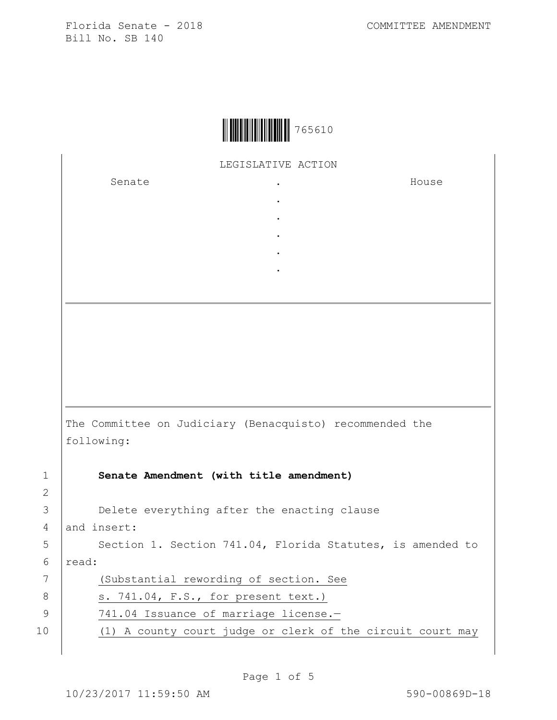Florida Senate - 2018 Bill No. SB 140



LEGISLATIVE ACTION  $\ddot{\phantom{a}}$ 

Senate

House

The Committee on Judiciary (Benacquisto) recommended the following: Senate Amendment (with title amendment)

Delete everything after the enacting clause

and insert:

 $\mathbf{1}$  $\overline{2}$ 3

 $\overline{4}$ 

5

 $6 \overline{6}$ 

 $\overline{7}$ 

8

 $\mathcal{G}$ 

 $10$ 

Section 1. Section 741.04, Florida Statutes, is amended to read:

(Substantial rewording of section. See

s. 741.04, F.S., for present text.)

- 741.04 Issuance of marriage license.-
- (1) A county court judge or clerk of the circuit court may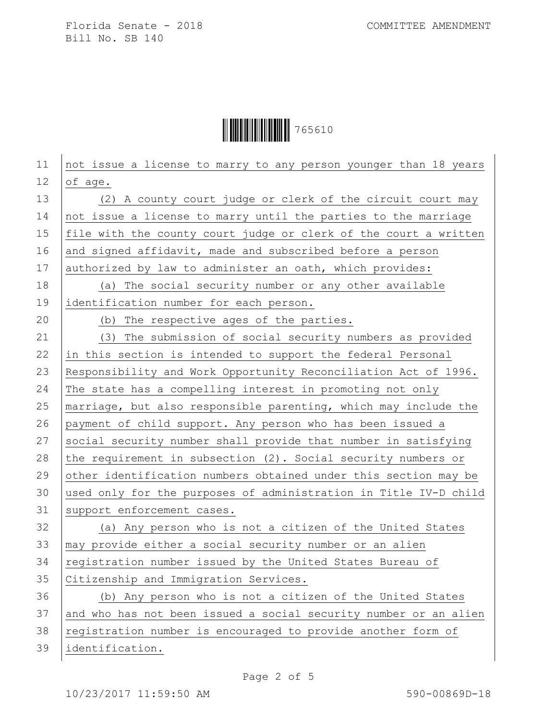**│ │ │ │ │ │ │ │ │ │ │ │ │ │ │ │ │** 765610

| 11 | not issue a license to marry to any person younger than 18 years |
|----|------------------------------------------------------------------|
| 12 | of age.                                                          |
| 13 | (2) A county court judge or clerk of the circuit court may       |
| 14 | not issue a license to marry until the parties to the marriage   |
| 15 | file with the county court judge or clerk of the court a written |
| 16 | and signed affidavit, made and subscribed before a person        |
| 17 | authorized by law to administer an oath, which provides:         |
| 18 | (a) The social security number or any other available            |
| 19 | identification number for each person.                           |
| 20 | (b) The respective ages of the parties.                          |
| 21 | (3) The submission of social security numbers as provided        |
| 22 | in this section is intended to support the federal Personal      |
| 23 | Responsibility and Work Opportunity Reconciliation Act of 1996.  |
| 24 | The state has a compelling interest in promoting not only        |
| 25 | marriage, but also responsible parenting, which may include the  |
| 26 | payment of child support. Any person who has been issued a       |
| 27 | social security number shall provide that number in satisfying   |
| 28 | the requirement in subsection (2). Social security numbers or    |
| 29 | other identification numbers obtained under this section may be  |
| 30 | used only for the purposes of administration in Title IV-D child |
| 31 | support enforcement cases.                                       |
| 32 | (a) Any person who is not a citizen of the United States         |
| 33 | may provide either a social security number or an alien          |
| 34 | registration number issued by the United States Bureau of        |
| 35 | Citizenship and Immigration Services.                            |
| 36 | (b) Any person who is not a citizen of the United States         |
| 37 | and who has not been issued a social security number or an alien |
| 38 | registration number is encouraged to provide another form of     |
| 39 | identification.                                                  |
|    |                                                                  |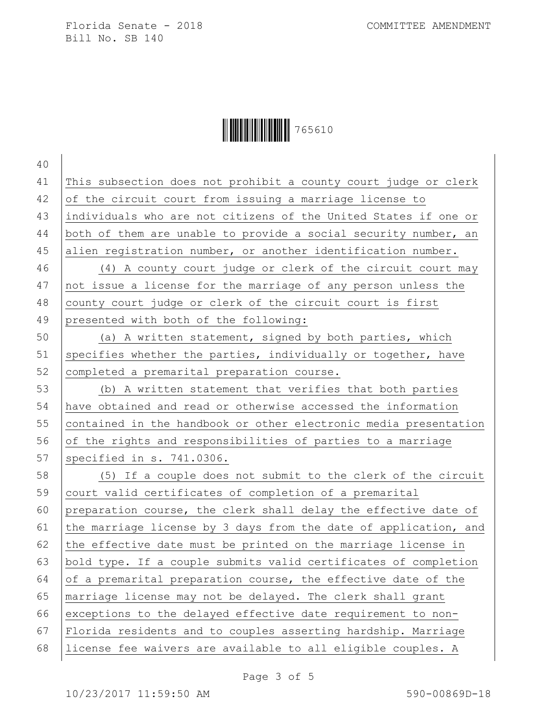**│││││││││││││** 765610

 This subsection does not prohibit a county court judge or clerk of the circuit court from issuing a marriage license to individuals who are not citizens of the United States if one or both of them are unable to provide a social security number, an alien registration number, or another identification number. (4) A county court judge or clerk of the circuit court may not issue a license for the marriage of any person unless the county court judge or clerk of the circuit court is first presented with both of the following: (a) A written statement, signed by both parties, which 51 specifies whether the parties, individually or together, have 52 completed a premarital preparation course. (b) A written statement that verifies that both parties have obtained and read or otherwise accessed the information contained in the handbook or other electronic media presentation 56 of the rights and responsibilities of parties to a marriage 57 specified in s. 741.0306. (5) If a couple does not submit to the clerk of the circuit court valid certificates of completion of a premarital preparation course, the clerk shall delay the effective date of 61 the marriage license by 3 days from the date of application, and 62 the effective date must be printed on the marriage license in bold type. If a couple submits valid certificates of completion  $\circ$  of a premarital preparation course, the effective date of the marriage license may not be delayed. The clerk shall grant exceptions to the delayed effective date requirement to non- Florida residents and to couples asserting hardship. Marriage license fee waivers are available to all eligible couples. A

Page 3 of 5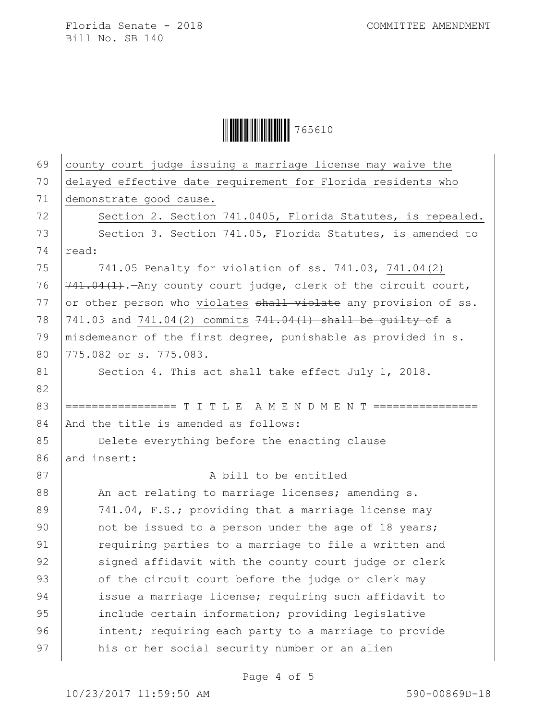**│ │ │ │ │ │ │ │ │ │ │ │ │ │ │ │ │** 765610

| 69 | county court judge issuing a marriage license may waive the     |
|----|-----------------------------------------------------------------|
| 70 | delayed effective date requirement for Florida residents who    |
| 71 | demonstrate good cause.                                         |
| 72 | Section 2. Section 741.0405, Florida Statutes, is repealed.     |
| 73 | Section 3. Section 741.05, Florida Statutes, is amended to      |
| 74 | read:                                                           |
| 75 | 741.05 Penalty for violation of ss. 741.03, 741.04(2)           |
| 76 | 741.04(1). Any county court judge, clerk of the circuit court,  |
| 77 | or other person who violates shall violate any provision of ss. |
| 78 | 741.03 and 741.04(2) commits 741.04(1) shall be guilty of a     |
| 79 | misdemeanor of the first degree, punishable as provided in s.   |
| 80 | 775.082 or s. 775.083.                                          |
| 81 | Section 4. This act shall take effect July 1, 2018.             |
| 82 |                                                                 |
| 83 | ================= T I T L E A M E N D M E N T ============      |
| 84 | And the title is amended as follows:                            |
| 85 | Delete everything before the enacting clause                    |
| 86 | and insert:                                                     |
| 87 | A bill to be entitled                                           |
| 88 | An act relating to marriage licenses; amending s.               |
| 89 | 741.04, F.S.; providing that a marriage license may             |
| 90 | not be issued to a person under the age of 18 years;            |
| 91 | requiring parties to a marriage to file a written and           |
| 92 | signed affidavit with the county court judge or clerk           |
| 93 | of the circuit court before the judge or clerk may              |
| 94 | issue a marriage license; requiring such affidavit to           |
| 95 | include certain information; providing legislative              |
| 96 | intent; requiring each party to a marriage to provide           |
| 97 | his or her social security number or an alien                   |

Page 4 of 5